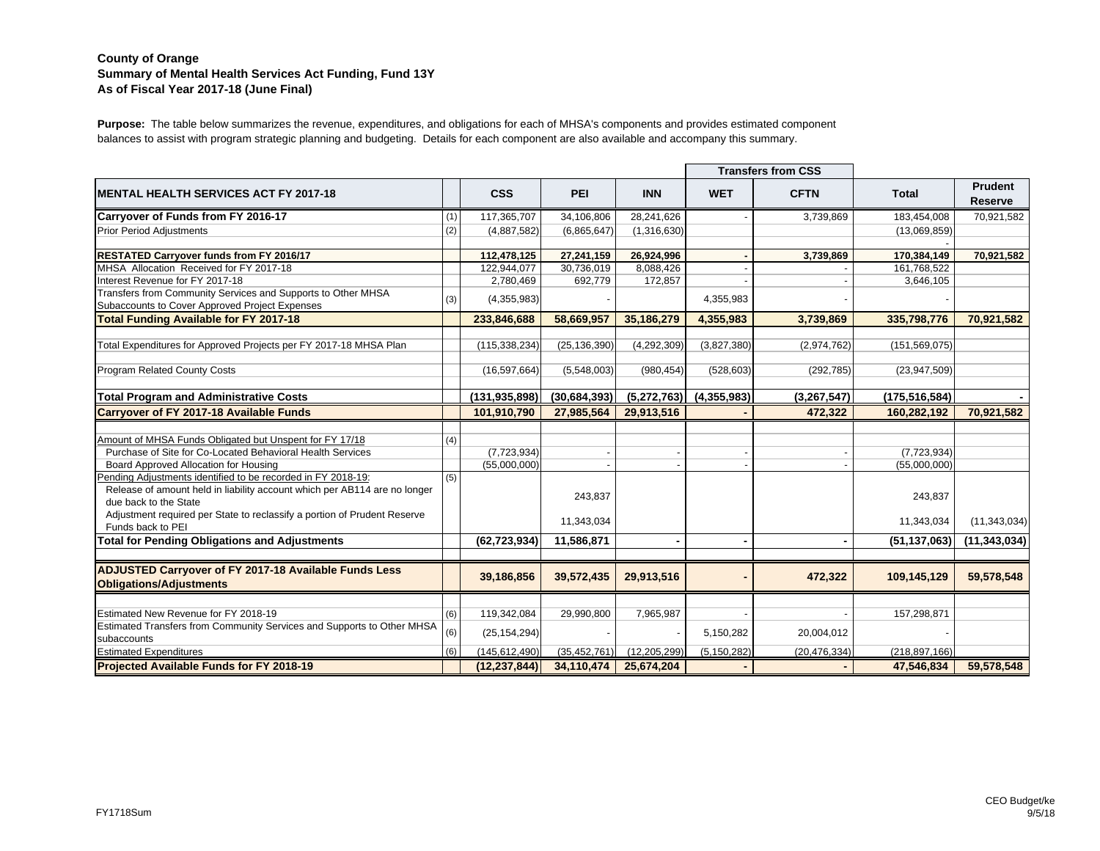#### **County of Orange Summary of Mental Health Services Act Funding, Fund 13Y As of Fiscal Year 2017-18 (June Final)**

**Purpose:** The table below summarizes the revenue, expenditures, and obligations for each of MHSA's components and provides estimated component balances to assist with program strategic planning and budgeting. Details for each component are also available and accompany this summary.

|                                                                                                                |     |                            |                          |                |                | <b>Transfers from CSS</b> |                 |                                  |
|----------------------------------------------------------------------------------------------------------------|-----|----------------------------|--------------------------|----------------|----------------|---------------------------|-----------------|----------------------------------|
| <b>MENTAL HEALTH SERVICES ACT FY 2017-18</b>                                                                   |     | <b>CSS</b>                 | <b>PEI</b>               | <b>INN</b>     | <b>WET</b>     | <b>CFTN</b>               | <b>Total</b>    | <b>Prudent</b><br><b>Reserve</b> |
| Carryover of Funds from FY 2016-17                                                                             | (1) | 117,365,707                | 34,106,806               | 28,241,626     |                | 3.739.869                 | 183,454,008     | 70.921.582                       |
| <b>Prior Period Adjustments</b>                                                                                | (2) | (4,887,582)                | (6,865,647)              | (1,316,630)    |                |                           | (13,069,859)    |                                  |
|                                                                                                                |     |                            |                          | 26,924,996     |                | 3,739,869                 | 170,384,149     | 70,921,582                       |
| RESTATED Carryover funds from FY 2016/17<br>MHSA Allocation Received for FY 2017-18                            |     | 112,478,125<br>122,944,077 | 27,241,159<br>30,736,019 | 8.088.426      |                |                           | 161,768,522     |                                  |
| Interest Revenue for FY 2017-18                                                                                |     |                            | 692,779                  | 172,857        |                |                           |                 |                                  |
|                                                                                                                |     | 2,780,469                  |                          |                |                |                           | 3,646,105       |                                  |
| Transfers from Community Services and Supports to Other MHSA<br>Subaccounts to Cover Approved Project Expenses | (3) | (4,355,983)                |                          |                | 4,355,983      |                           |                 |                                  |
| <b>Total Funding Available for FY 2017-18</b>                                                                  |     | 233,846,688                | 58,669,957               | 35,186,279     | 4,355,983      | 3,739,869                 | 335,798,776     | 70,921,582                       |
| Total Expenditures for Approved Projects per FY 2017-18 MHSA Plan                                              |     | (115, 338, 234)            | (25, 136, 390)           | (4, 292, 309)  | (3,827,380)    | (2,974,762)               | (151, 569, 075) |                                  |
| <b>Program Related County Costs</b>                                                                            |     | (16, 597, 664)             | (5,548,003)              | (980, 454)     | (528, 603)     | (292, 785)                | (23, 947, 509)  |                                  |
| <b>Total Program and Administrative Costs</b>                                                                  |     | (131, 935, 898)            | (30,684,393)             | (5,272,763)    | (4,355,983)    | (3, 267, 547)             | (175, 516, 584) |                                  |
| <b>Carryover of FY 2017-18 Available Funds</b>                                                                 |     | 101.910.790                | 27,985,564               | 29,913,516     |                | 472,322                   | 160,282,192     | 70,921,582                       |
|                                                                                                                |     |                            |                          |                |                |                           |                 |                                  |
| Amount of MHSA Funds Obligated but Unspent for FY 17/18                                                        | (4) |                            |                          |                |                |                           |                 |                                  |
| Purchase of Site for Co-Located Behavioral Health Services                                                     |     | (7,723,934)                |                          |                |                |                           | (7,723,934)     |                                  |
| Board Approved Allocation for Housing                                                                          |     | (55,000,000)               |                          |                |                |                           | (55,000,000)    |                                  |
| Pending Adjustments identified to be recorded in FY 2018-19:                                                   | (5) |                            |                          |                |                |                           |                 |                                  |
| Release of amount held in liability account which per AB114 are no longer<br>due back to the State             |     |                            | 243,837                  |                |                |                           | 243,837         |                                  |
| Adjustment required per State to reclassify a portion of Prudent Reserve<br>Funds back to PEI                  |     |                            | 11,343,034               |                |                |                           | 11,343,034      | (11, 343, 034)                   |
| <b>Total for Pending Obligations and Adjustments</b>                                                           |     | (62, 723, 934)             | 11,586,871               |                |                |                           | (51, 137, 063)  | (11, 343, 034)                   |
|                                                                                                                |     |                            |                          |                |                |                           |                 |                                  |
| <b>ADJUSTED Carryover of FY 2017-18 Available Funds Less</b>                                                   |     | 39,186,856                 | 39,572,435               | 29,913,516     |                | 472,322                   | 109,145,129     | 59,578,548                       |
| <b>Obligations/Adjustments</b>                                                                                 |     |                            |                          |                |                |                           |                 |                                  |
|                                                                                                                |     |                            |                          |                |                |                           |                 |                                  |
| Estimated New Revenue for FY 2018-19                                                                           | (6) | 119,342,084                | 29,990,800               | 7,965,987      |                |                           | 157,298,871     |                                  |
| Estimated Transfers from Community Services and Supports to Other MHSA<br>subaccounts                          | (6) | (25, 154, 294)             |                          |                | 5,150,282      | 20,004,012                |                 |                                  |
| <b>Estimated Expenditures</b>                                                                                  | (6) | (145, 612, 490)            | (35, 452, 761)           | (12, 205, 299) | (5, 150, 282)  | (20, 476, 334)            | (218, 897, 166) |                                  |
| <b>Projected Available Funds for FY 2018-19</b>                                                                |     | (12, 237, 844)             | 34,110,474               | 25,674,204     | $\blacksquare$ |                           | 47,546,834      | 59,578,548                       |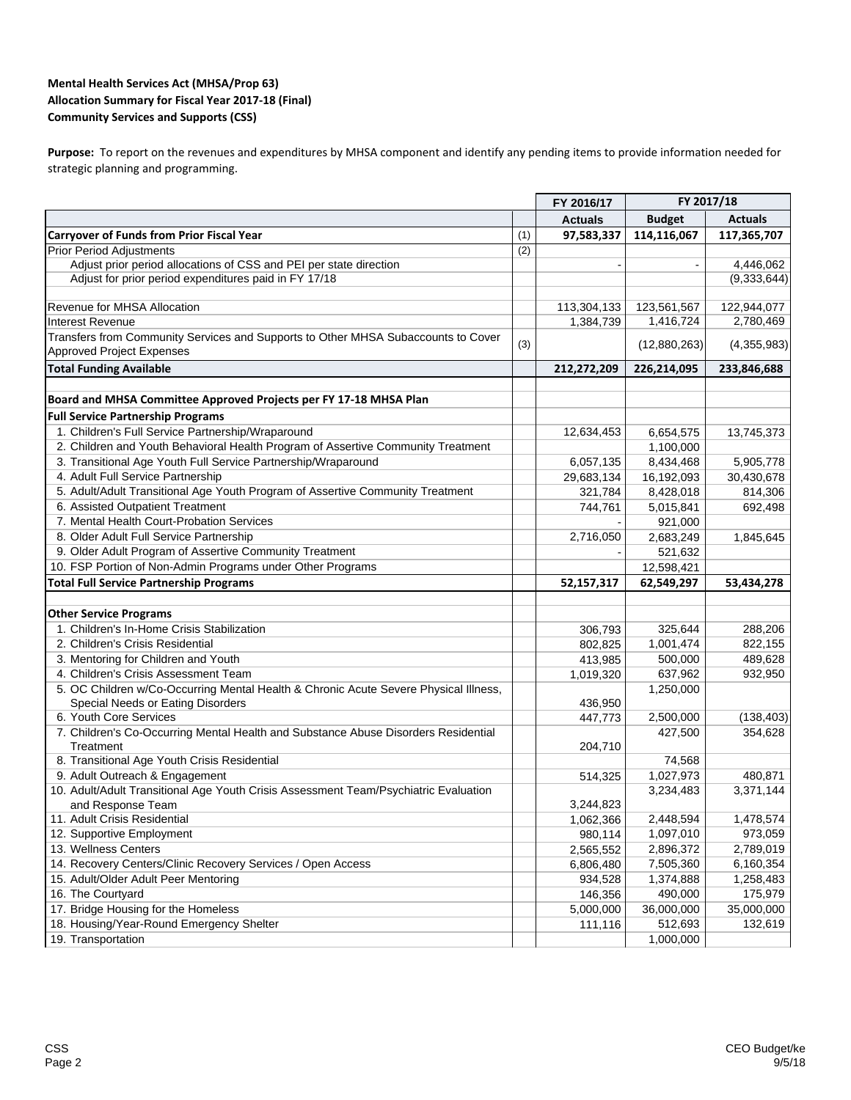## **Allocation Summary for Fiscal Year 2017‐18 (Final) Mental Health Services Act (MHSA/Prop 63) Community Services and Supports (CSS)**

Purpose: To report on the revenues and expenditures by MHSA component and identify any pending items to provide information needed for strategic planning and programming.

|                                                                                                                       |     | FY 2016/17     | FY 2017/18     |                |
|-----------------------------------------------------------------------------------------------------------------------|-----|----------------|----------------|----------------|
|                                                                                                                       |     | <b>Actuals</b> | <b>Budget</b>  | <b>Actuals</b> |
| <b>Carryover of Funds from Prior Fiscal Year</b>                                                                      | (1) | 97,583,337     | 114,116,067    | 117,365,707    |
| <b>Prior Period Adjustments</b>                                                                                       | (2) |                |                |                |
| Adjust prior period allocations of CSS and PEI per state direction                                                    |     |                | $\blacksquare$ | 4,446,062      |
| Adjust for prior period expenditures paid in FY 17/18                                                                 |     |                |                | (9, 333, 644)  |
|                                                                                                                       |     |                |                |                |
| Revenue for MHSA Allocation                                                                                           |     | 113,304,133    | 123,561,567    | 122,944,077    |
| <b>Interest Revenue</b>                                                                                               |     | 1,384,739      | 1,416,724      | 2,780,469      |
| Transfers from Community Services and Supports to Other MHSA Subaccounts to Cover<br><b>Approved Project Expenses</b> | (3) |                | (12,880,263)   | (4,355,983)    |
| <b>Total Funding Available</b>                                                                                        |     | 212,272,209    | 226,214,095    | 233,846,688    |
|                                                                                                                       |     |                |                |                |
| Board and MHSA Committee Approved Projects per FY 17-18 MHSA Plan                                                     |     |                |                |                |
| <b>Full Service Partnership Programs</b>                                                                              |     |                |                |                |
| 1. Children's Full Service Partnership/Wraparound                                                                     |     | 12,634,453     | 6,654,575      | 13,745,373     |
| 2. Children and Youth Behavioral Health Program of Assertive Community Treatment                                      |     |                | 1,100,000      |                |
| 3. Transitional Age Youth Full Service Partnership/Wraparound                                                         |     | 6,057,135      | 8,434,468      | 5,905,778      |
| 4. Adult Full Service Partnership                                                                                     |     | 29,683,134     | 16,192,093     | 30,430,678     |
| 5. Adult/Adult Transitional Age Youth Program of Assertive Community Treatment                                        |     | 321,784        | 8,428,018      | 814,306        |
| 6. Assisted Outpatient Treatment                                                                                      |     | 744,761        | 5,015,841      | 692,498        |
| 7. Mental Health Court-Probation Services                                                                             |     |                | 921,000        |                |
| 8. Older Adult Full Service Partnership                                                                               |     | 2,716,050      | 2,683,249      | 1,845,645      |
| 9. Older Adult Program of Assertive Community Treatment                                                               |     |                | 521,632        |                |
| 10. FSP Portion of Non-Admin Programs under Other Programs                                                            |     |                | 12,598,421     |                |
| <b>Total Full Service Partnership Programs</b>                                                                        |     | 52,157,317     | 62,549,297     | 53,434,278     |
|                                                                                                                       |     |                |                |                |
| <b>Other Service Programs</b>                                                                                         |     |                |                |                |
| 1. Children's In-Home Crisis Stabilization                                                                            |     | 306,793        | 325,644        | 288,206        |
| 2. Children's Crisis Residential                                                                                      |     | 802,825        | 1,001,474      | 822,155        |
| 3. Mentoring for Children and Youth                                                                                   |     | 413,985        | 500,000        | 489,628        |
| 4. Children's Crisis Assessment Team                                                                                  |     | 1,019,320      | 637,962        | 932,950        |
| 5. OC Children w/Co-Occurring Mental Health & Chronic Acute Severe Physical Illness,                                  |     |                | 1,250,000      |                |
| Special Needs or Eating Disorders                                                                                     |     | 436,950        |                |                |
| 6. Youth Core Services                                                                                                |     | 447,773        | 2,500,000      | (138, 403)     |
| 7. Children's Co-Occurring Mental Health and Substance Abuse Disorders Residential                                    |     |                | 427,500        | 354,628        |
| Treatment                                                                                                             |     | 204,710        |                |                |
| 8. Transitional Age Youth Crisis Residential                                                                          |     |                | 74,568         |                |
| 9. Adult Outreach & Engagement                                                                                        |     | 514,325        | 1,027,973      | 480,871        |
| 10. Adult/Adult Transitional Age Youth Crisis Assessment Team/Psychiatric Evaluation                                  |     |                | 3,234,483      | 3,371,144      |
| and Response Team                                                                                                     |     | 3,244,823      |                |                |
| 11. Adult Crisis Residential                                                                                          |     | 1,062,366      | 2,448,594      | 1,478,574      |
| 12. Supportive Employment                                                                                             |     | 980,114        | 1,097,010      | 973,059        |
| 13. Wellness Centers                                                                                                  |     | 2,565,552      | 2,896,372      | 2,789,019      |
| 14. Recovery Centers/Clinic Recovery Services / Open Access                                                           |     | 6,806,480      | 7,505,360      | 6,160,354      |
| 15. Adult/Older Adult Peer Mentoring                                                                                  |     | 934,528        | 1,374,888      | 1,258,483      |
| 16. The Courtyard                                                                                                     |     | 146,356        | 490,000        | 175,979        |
| 17. Bridge Housing for the Homeless                                                                                   |     | 5,000,000      | 36,000,000     | 35,000,000     |
| 18. Housing/Year-Round Emergency Shelter                                                                              |     | 111,116        | 512,693        | 132,619        |
| 19. Transportation                                                                                                    |     |                | 1,000,000      |                |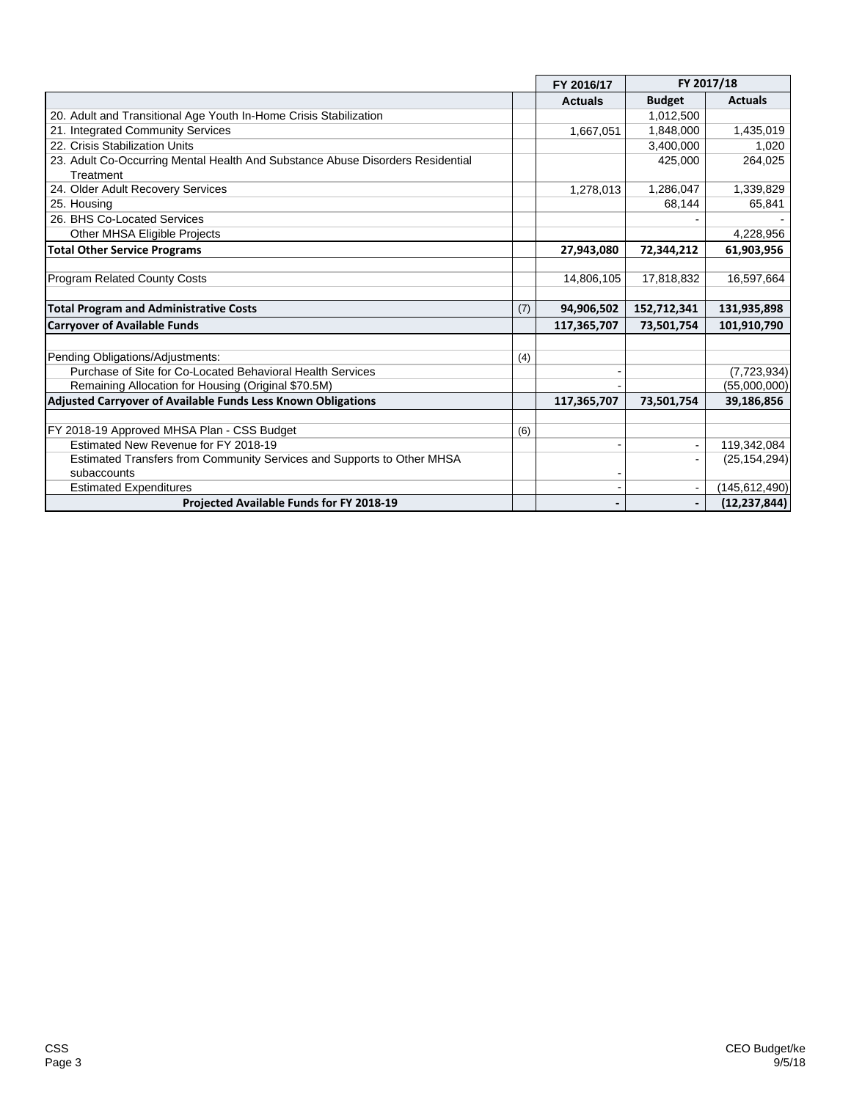|                                                                                |     | FY 2016/17     | FY 2017/18     |                 |
|--------------------------------------------------------------------------------|-----|----------------|----------------|-----------------|
|                                                                                |     | <b>Actuals</b> | <b>Budget</b>  | <b>Actuals</b>  |
| 20. Adult and Transitional Age Youth In-Home Crisis Stabilization              |     |                | 1,012,500      |                 |
| 21. Integrated Community Services                                              |     | 1,667,051      | 1,848,000      | 1,435,019       |
| 22. Crisis Stabilization Units                                                 |     |                | 3,400,000      | 1,020           |
| 23. Adult Co-Occurring Mental Health And Substance Abuse Disorders Residential |     |                | 425,000        | 264,025         |
| Treatment                                                                      |     |                |                |                 |
| 24. Older Adult Recovery Services                                              |     | 1,278,013      | 1,286,047      | 1,339,829       |
| 25. Housing                                                                    |     |                | 68,144         | 65,841          |
| 26. BHS Co-Located Services                                                    |     |                |                |                 |
| Other MHSA Eligible Projects                                                   |     |                |                | 4,228,956       |
| <b>Total Other Service Programs</b>                                            |     | 27,943,080     | 72,344,212     | 61,903,956      |
|                                                                                |     |                |                |                 |
| <b>Program Related County Costs</b>                                            |     | 14,806,105     | 17,818,832     | 16,597,664      |
|                                                                                |     |                |                |                 |
| <b>Total Program and Administrative Costs</b>                                  |     | 94,906,502     | 152,712,341    | 131,935,898     |
| <b>Carryover of Available Funds</b>                                            |     | 117,365,707    | 73,501,754     | 101,910,790     |
|                                                                                |     |                |                |                 |
| Pending Obligations/Adjustments:                                               | (4) |                |                |                 |
| Purchase of Site for Co-Located Behavioral Health Services                     |     |                |                | (7, 723, 934)   |
| Remaining Allocation for Housing (Original \$70.5M)                            |     |                |                | (55,000,000)    |
| Adjusted Carryover of Available Funds Less Known Obligations                   |     | 117,365,707    | 73,501,754     | 39,186,856      |
|                                                                                |     |                |                |                 |
| FY 2018-19 Approved MHSA Plan - CSS Budget                                     | (6) |                |                |                 |
| Estimated New Revenue for FY 2018-19                                           |     |                |                | 119,342,084     |
| Estimated Transfers from Community Services and Supports to Other MHSA         |     |                |                | (25, 154, 294)  |
| subaccounts                                                                    |     |                |                |                 |
| <b>Estimated Expenditures</b>                                                  |     |                | $\blacksquare$ | (145, 612, 490) |
| Projected Available Funds for FY 2018-19                                       |     |                |                | (12, 237, 844)  |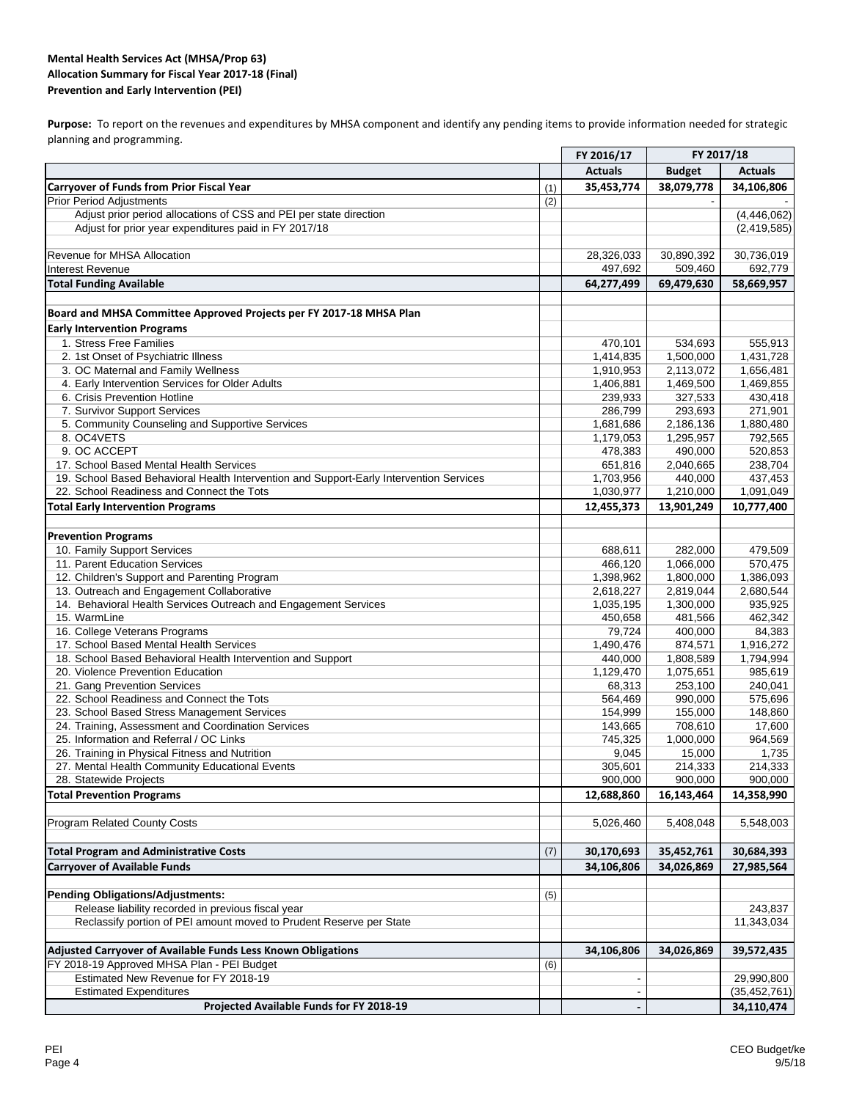#### **Mental Health Services Act (MHSA/Prop 63) Prevention and Early Intervention (PEI) Allocation Summary for Fiscal Year 2017‐18 (Final)**

Purpose: To report on the revenues and expenditures by MHSA component and identify any pending items to provide information needed for strategic planning and programming.

|                                                                                         | FY 2016/17     | FY 2017/18    |                |
|-----------------------------------------------------------------------------------------|----------------|---------------|----------------|
|                                                                                         | <b>Actuals</b> | <b>Budget</b> | <b>Actuals</b> |
| <b>Carryover of Funds from Prior Fiscal Year</b><br>(1)                                 | 35,453,774     | 38,079,778    | 34,106,806     |
| <b>Prior Period Adjustments</b><br>(2)                                                  |                |               |                |
| Adjust prior period allocations of CSS and PEI per state direction                      |                |               | (4, 446, 062)  |
| Adjust for prior year expenditures paid in FY 2017/18                                   |                |               | (2,419,585)    |
|                                                                                         |                |               |                |
| Revenue for MHSA Allocation                                                             | 28,326,033     | 30,890,392    | 30,736,019     |
| <b>Interest Revenue</b>                                                                 | 497,692        | 509,460       | 692,779        |
| <b>Total Funding Available</b>                                                          | 64,277,499     | 69,479,630    | 58,669,957     |
|                                                                                         |                |               |                |
| Board and MHSA Committee Approved Projects per FY 2017-18 MHSA Plan                     |                |               |                |
| <b>Early Intervention Programs</b>                                                      |                |               |                |
| 1. Stress Free Families                                                                 | 470,101        | 534,693       | 555,913        |
| 2. 1st Onset of Psychiatric Illness                                                     | 1,414,835      | 1,500,000     | 1,431,728      |
| 3. OC Maternal and Family Wellness                                                      | 1,910,953      | 2,113,072     | 1,656,481      |
| 4. Early Intervention Services for Older Adults                                         | 1,406,881      | 1,469,500     | 1,469,855      |
| 6. Crisis Prevention Hotline                                                            | 239,933        | 327,533       | 430,418        |
| 7. Survivor Support Services                                                            | 286,799        | 293,693       | 271,901        |
| 5. Community Counseling and Supportive Services                                         | 1,681,686      | 2,186,136     | 1,880,480      |
| 8. OC4VETS                                                                              | 1,179,053      | 1,295,957     | 792,565        |
| 9. OC ACCEPT                                                                            | 478,383        | 490,000       | 520,853        |
| 17. School Based Mental Health Services                                                 | 651,816        | 2,040,665     | 238,704        |
| 19. School Based Behavioral Health Intervention and Support-Early Intervention Services | 1,703,956      | 440,000       | 437,453        |
| 22. School Readiness and Connect the Tots                                               | 1,030,977      | 1,210,000     | 1,091,049      |
| <b>Total Early Intervention Programs</b>                                                | 12,455,373     | 13,901,249    | 10,777,400     |
|                                                                                         |                |               |                |
| <b>Prevention Programs</b>                                                              |                |               |                |
| 10. Family Support Services                                                             | 688,611        | 282,000       | 479,509        |
| 11. Parent Education Services                                                           | 466,120        | 1,066,000     | 570,475        |
| 12. Children's Support and Parenting Program                                            | 1,398,962      | 1,800,000     | 1,386,093      |
| 13. Outreach and Engagement Collaborative                                               | 2,618,227      | 2,819,044     | 2,680,544      |
| 14. Behavioral Health Services Outreach and Engagement Services                         | 1,035,195      | 1,300,000     | 935,925        |
| 15. WarmLine                                                                            | 450,658        | 481,566       | 462,342        |
| 16. College Veterans Programs                                                           | 79,724         | 400,000       | 84,383         |
| 17. School Based Mental Health Services                                                 | 1,490,476      | 874,571       | 1,916,272      |
| 18. School Based Behavioral Health Intervention and Support                             | 440,000        | 1,808,589     | 1,794,994      |
| 20. Violence Prevention Education                                                       | 1,129,470      | 1,075,651     | 985,619        |
| 21. Gang Prevention Services                                                            | 68,313         | 253,100       | 240,041        |
| 22. School Readiness and Connect the Tots                                               | 564,469        | 990,000       | 575,696        |
| 23. School Based Stress Management Services                                             | 154,999        | 155,000       | 148,860        |
| 24. Training, Assessment and Coordination Services                                      | 143,665        | 708,610       | 17,600         |
| 25. Information and Referral / OC Links                                                 | 745,325        | 1,000,000     | 964,569        |
| 26. Training in Physical Fitness and Nutrition                                          | 9,045          | 15,000        | 1,735          |
| 27. Mental Health Community Educational Events                                          | 305,601        | 214,333       | 214,333        |
| 28. Statewide Projects                                                                  | 900,000        | 900,000       | 900,000        |
| <b>Total Prevention Programs</b>                                                        | 12,688,860     | 16,143,464    | 14,358,990     |
|                                                                                         |                |               |                |
| Program Related County Costs                                                            | 5,026,460      | 5,408,048     | 5,548,003      |
|                                                                                         |                |               |                |
| <b>Total Program and Administrative Costs</b><br>(7)                                    | 30,170,693     | 35,452,761    | 30,684,393     |
| <b>Carryover of Available Funds</b>                                                     | 34,106,806     | 34,026,869    | 27,985,564     |
|                                                                                         |                |               |                |
| <b>Pending Obligations/Adjustments:</b><br>(5)                                          |                |               |                |
| Release liability recorded in previous fiscal year                                      |                |               | 243,837        |
| Reclassify portion of PEI amount moved to Prudent Reserve per State                     |                |               | 11,343,034     |
|                                                                                         |                |               |                |
| Adjusted Carryover of Available Funds Less Known Obligations                            | 34,106,806     | 34,026,869    | 39,572,435     |
| FY 2018-19 Approved MHSA Plan - PEI Budget<br>(6)                                       |                |               |                |
| Estimated New Revenue for FY 2018-19                                                    | $\blacksquare$ |               | 29,990,800     |
| <b>Estimated Expenditures</b>                                                           |                |               | (35, 452, 761) |
| Projected Available Funds for FY 2018-19                                                |                |               | 34,110,474     |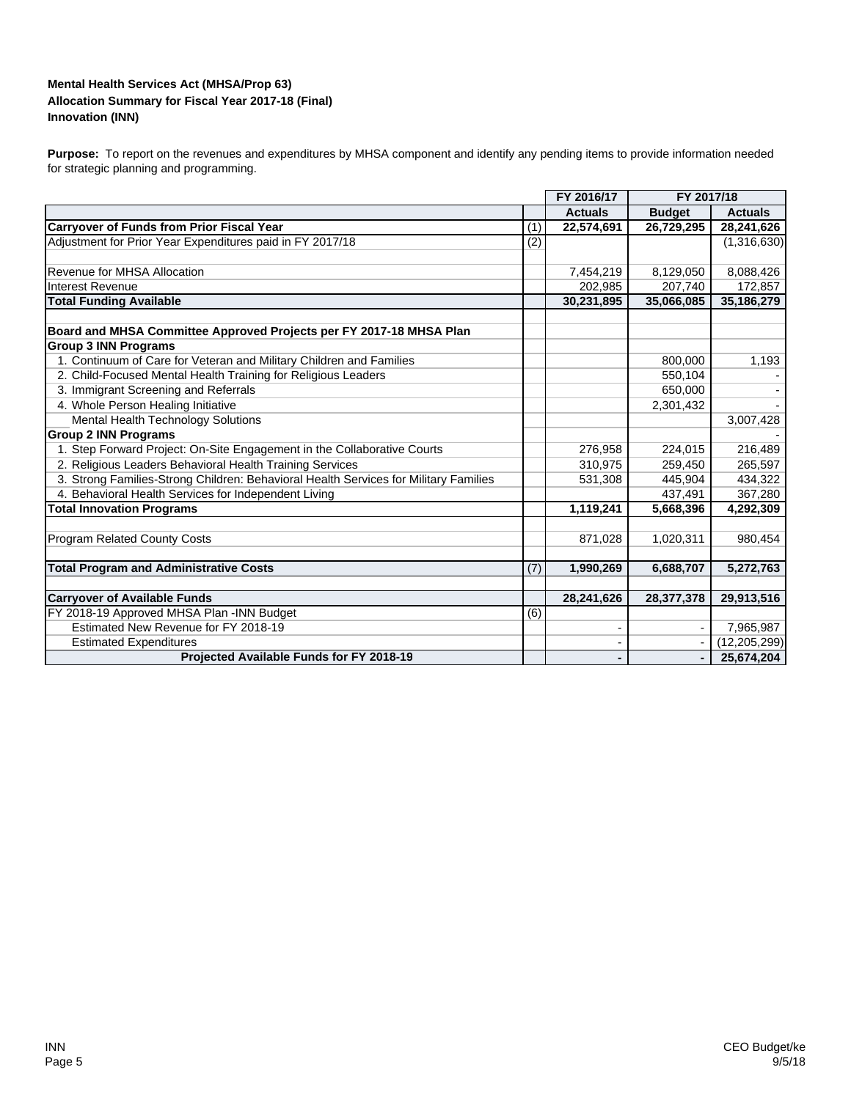#### **Mental Health Services Act (MHSA/Prop 63) Innovation (INN) Allocation Summary for Fiscal Year 2017-18 (Final)**

**Purpose:** To report on the revenues and expenditures by MHSA component and identify any pending items to provide information needed for strategic planning and programming.

|                                                                                      |     | FY 2016/17     | FY 2017/18    |                |  |
|--------------------------------------------------------------------------------------|-----|----------------|---------------|----------------|--|
|                                                                                      |     | <b>Actuals</b> | <b>Budget</b> | <b>Actuals</b> |  |
| <b>Carryover of Funds from Prior Fiscal Year</b>                                     | (1) | 22,574,691     | 26,729,295    | 28,241,626     |  |
| Adjustment for Prior Year Expenditures paid in FY 2017/18                            | (2) |                |               | (1,316,630)    |  |
|                                                                                      |     |                |               |                |  |
| Revenue for MHSA Allocation                                                          |     | 7,454,219      | 8,129,050     | 8,088,426      |  |
| Interest Revenue                                                                     |     | 202,985        | 207,740       | 172,857        |  |
| <b>Total Funding Available</b>                                                       |     | 30,231,895     | 35,066,085    | 35,186,279     |  |
|                                                                                      |     |                |               |                |  |
| Board and MHSA Committee Approved Projects per FY 2017-18 MHSA Plan                  |     |                |               |                |  |
| <b>Group 3 INN Programs</b>                                                          |     |                |               |                |  |
| 1. Continuum of Care for Veteran and Military Children and Families                  |     |                | 800,000       | 1,193          |  |
| 2. Child-Focused Mental Health Training for Religious Leaders                        |     |                | 550,104       |                |  |
| 3. Immigrant Screening and Referrals                                                 |     |                | 650,000       |                |  |
| 4. Whole Person Healing Initiative                                                   |     |                | 2,301,432     |                |  |
| Mental Health Technology Solutions                                                   |     |                |               | 3,007,428      |  |
| <b>Group 2 INN Programs</b>                                                          |     |                |               |                |  |
| 1. Step Forward Project: On-Site Engagement in the Collaborative Courts              |     | 276,958        | 224,015       | 216,489        |  |
| 2. Religious Leaders Behavioral Health Training Services                             |     | 310,975        | 259,450       | 265,597        |  |
| 3. Strong Families-Strong Children: Behavioral Health Services for Military Families |     | 531,308        | 445,904       | 434,322        |  |
| 4. Behavioral Health Services for Independent Living                                 |     |                | 437,491       | 367,280        |  |
| <b>Total Innovation Programs</b>                                                     |     | 1,119,241      | 5,668,396     | 4,292,309      |  |
|                                                                                      |     |                |               |                |  |
| <b>Program Related County Costs</b>                                                  |     | 871,028        | 1,020,311     | 980,454        |  |
|                                                                                      |     |                |               |                |  |
| <b>Total Program and Administrative Costs</b>                                        | (7) | 1,990,269      | 6,688,707     | 5,272,763      |  |
|                                                                                      |     |                |               |                |  |
| <b>Carryover of Available Funds</b>                                                  |     | 28,241,626     | 28,377,378    | 29,913,516     |  |
| FY 2018-19 Approved MHSA Plan -INN Budget                                            | (6) |                |               |                |  |
| Estimated New Revenue for FY 2018-19                                                 |     |                |               | 7,965,987      |  |
| <b>Estimated Expenditures</b>                                                        |     |                |               | (12, 205, 299) |  |
| Projected Available Funds for FY 2018-19                                             |     |                | ٠             | 25,674,204     |  |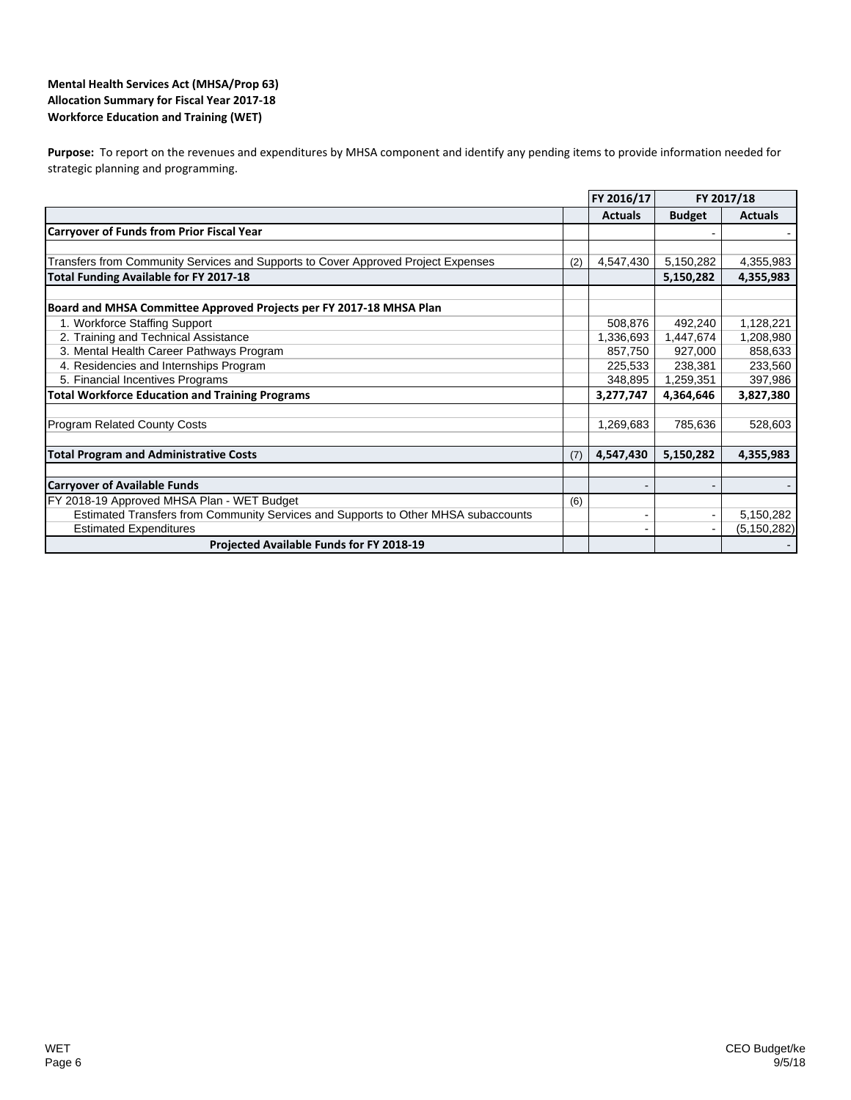## **Mental Health Services Act (MHSA/Prop 63) Allocation Summary for Fiscal Year 2017‐18 Workforce Education and Training (WET)**

Purpose: To report on the revenues and expenditures by MHSA component and identify any pending items to provide information needed for strategic planning and programming.

|                                                                                    |     | FY 2016/17     | FY 2017/18    |                |
|------------------------------------------------------------------------------------|-----|----------------|---------------|----------------|
|                                                                                    |     | <b>Actuals</b> | <b>Budget</b> | <b>Actuals</b> |
| <b>Carryover of Funds from Prior Fiscal Year</b>                                   |     |                |               |                |
|                                                                                    |     |                |               |                |
| Transfers from Community Services and Supports to Cover Approved Project Expenses  | (2) | 4,547,430      | 5,150,282     | 4,355,983      |
| <b>Total Funding Available for FY 2017-18</b>                                      |     |                | 5,150,282     | 4,355,983      |
|                                                                                    |     |                |               |                |
| Board and MHSA Committee Approved Projects per FY 2017-18 MHSA Plan                |     |                |               |                |
| 1. Workforce Staffing Support                                                      |     | 508,876        | 492,240       | 1,128,221      |
| 2. Training and Technical Assistance                                               |     | 1,336,693      | 1,447,674     | 1,208,980      |
| 3. Mental Health Career Pathways Program                                           |     | 857,750        | 927,000       | 858,633        |
| 4. Residencies and Internships Program                                             |     | 225,533        | 238,381       | 233,560        |
| 5. Financial Incentives Programs                                                   |     | 348,895        | 1,259,351     | 397,986        |
| <b>Total Workforce Education and Training Programs</b>                             |     | 3,277,747      | 4,364,646     | 3,827,380      |
|                                                                                    |     |                |               |                |
| <b>Program Related County Costs</b>                                                |     | 1,269,683      | 785,636       | 528,603        |
| <b>Total Program and Administrative Costs</b>                                      | (7) | 4,547,430      | 5,150,282     | 4,355,983      |
|                                                                                    |     |                |               |                |
| <b>Carryover of Available Funds</b>                                                |     |                |               |                |
| FY 2018-19 Approved MHSA Plan - WET Budget                                         | (6) |                |               |                |
| Estimated Transfers from Community Services and Supports to Other MHSA subaccounts |     |                |               | 5,150,282      |
| <b>Estimated Expenditures</b>                                                      |     |                |               | (5, 150, 282)  |
| Projected Available Funds for FY 2018-19                                           |     |                |               |                |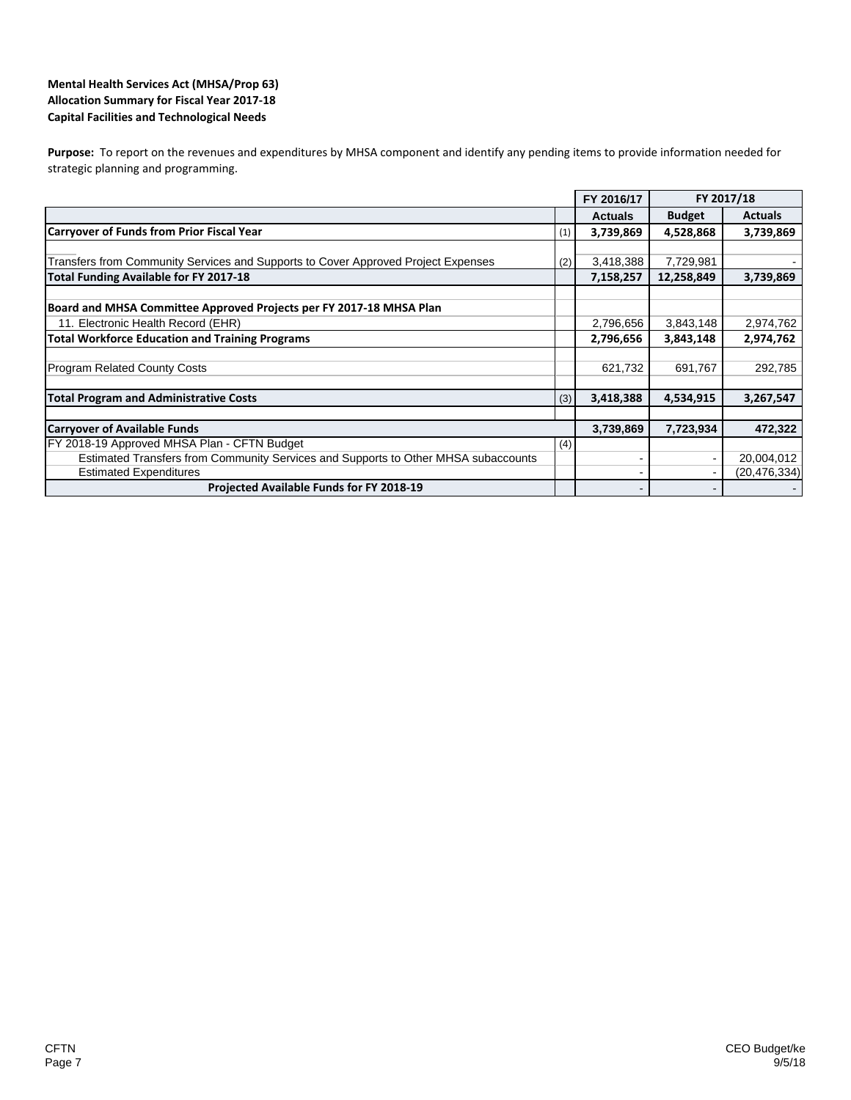## **Mental Health Services Act (MHSA/Prop 63) Allocation Summary for Fiscal Year 2017‐18 Capital Facilities and Technological Needs**

Purpose: To report on the revenues and expenditures by MHSA component and identify any pending items to provide information needed for strategic planning and programming.

|                                                                                    |     | FY 2016/17     |               | FY 2017/18     |
|------------------------------------------------------------------------------------|-----|----------------|---------------|----------------|
|                                                                                    |     | <b>Actuals</b> | <b>Budget</b> | <b>Actuals</b> |
| <b>Carryover of Funds from Prior Fiscal Year</b>                                   | (1) | 3,739,869      | 4,528,868     | 3,739,869      |
|                                                                                    |     |                |               |                |
| Transfers from Community Services and Supports to Cover Approved Project Expenses  | (2) | 3,418,388      | 7,729,981     |                |
| <b>Total Funding Available for FY 2017-18</b>                                      |     | 7,158,257      | 12,258,849    | 3,739,869      |
|                                                                                    |     |                |               |                |
| Board and MHSA Committee Approved Projects per FY 2017-18 MHSA Plan                |     |                |               |                |
| 11. Electronic Health Record (EHR)                                                 |     | 2,796,656      | 3,843,148     | 2,974,762      |
| <b>Total Workforce Education and Training Programs</b>                             |     | 2,796,656      | 3,843,148     | 2,974,762      |
|                                                                                    |     |                |               |                |
| <b>Program Related County Costs</b>                                                |     | 621,732        | 691,767       | 292,785        |
| <b>Total Program and Administrative Costs</b>                                      | (3) | 3,418,388      | 4,534,915     | 3,267,547      |
|                                                                                    |     |                |               |                |
| <b>Carryover of Available Funds</b>                                                |     | 3,739,869      | 7,723,934     | 472,322        |
| FY 2018-19 Approved MHSA Plan - CFTN Budget                                        | (4) |                |               |                |
| Estimated Transfers from Community Services and Supports to Other MHSA subaccounts |     |                | -             | 20,004,012     |
| <b>Estimated Expenditures</b>                                                      |     |                |               | (20, 476, 334) |
| Projected Available Funds for FY 2018-19                                           |     |                |               |                |